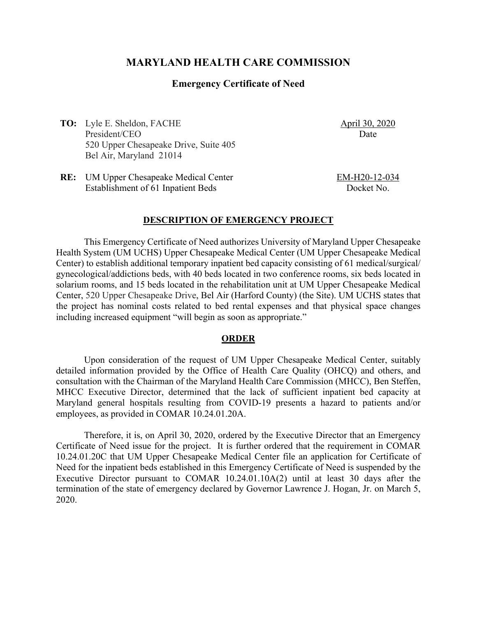# **MARYLAND HEALTH CARE COMMISSION**

### **Emergency Certificate of Need**

**TO:** Lyle E. Sheldon, FACHE President/CEO 520 Upper Chesapeake Drive, Suite 405 Bel Air, Maryland 21014

April 30, 2020 Date

**RE:** UM Upper Chesapeake Medical Center Establishment of 61 Inpatient Beds

EM-H20-12-034 Docket No.

#### **DESCRIPTION OF EMERGENCY PROJECT**

This Emergency Certificate of Need authorizes University of Maryland Upper Chesapeake Health System (UM UCHS) Upper Chesapeake Medical Center (UM Upper Chesapeake Medical Center) to establish additional temporary inpatient bed capacity consisting of 61 medical/surgical/ gynecological/addictions beds, with 40 beds located in two conference rooms, six beds located in solarium rooms, and 15 beds located in the rehabilitation unit at UM Upper Chesapeake Medical Center, 520 Upper Chesapeake Drive, Bel Air (Harford County) (the Site). UM UCHS states that the project has nominal costs related to bed rental expenses and that physical space changes including increased equipment "will begin as soon as appropriate."

#### **ORDER**

Upon consideration of the request of UM Upper Chesapeake Medical Center, suitably detailed information provided by the Office of Health Care Quality (OHCQ) and others, and consultation with the Chairman of the Maryland Health Care Commission (MHCC), Ben Steffen, MHCC Executive Director, determined that the lack of sufficient inpatient bed capacity at Maryland general hospitals resulting from COVID-19 presents a hazard to patients and/or employees, as provided in COMAR 10.24.01.20A.

Therefore, it is, on April 30, 2020, ordered by the Executive Director that an Emergency Certificate of Need issue for the project. It is further ordered that the requirement in COMAR 10.24.01.20C that UM Upper Chesapeake Medical Center file an application for Certificate of Need for the inpatient beds established in this Emergency Certificate of Need is suspended by the Executive Director pursuant to COMAR 10.24.01.10A(2) until at least 30 days after the termination of the state of emergency declared by Governor Lawrence J. Hogan, Jr. on March 5, 2020.